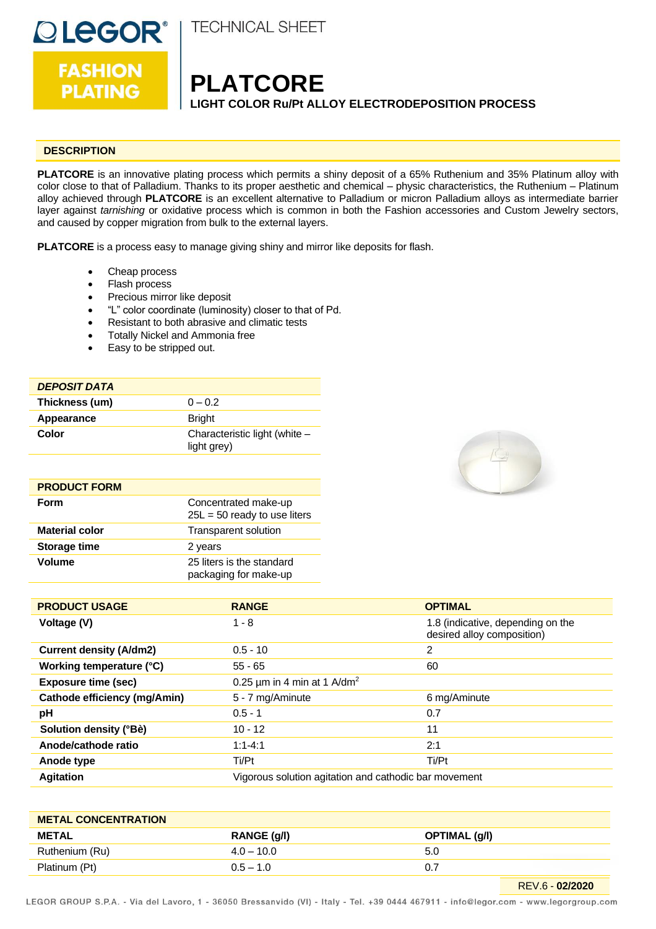

**TECHNICAL SHEET** 

**FASHION PLATING** 

### **PLATCORE LIGHT COLOR Ru/Pt ALLOY ELECTRODEPOSITION PROCESS**

#### **DESCRIPTION**

**PLATCORE** is an innovative plating process which permits a shiny deposit of a 65% Ruthenium and 35% Platinum alloy with color close to that of Palladium. Thanks to its proper aesthetic and chemical – physic characteristics, the Ruthenium – Platinum alloy achieved through **PLATCORE** is an excellent alternative to Palladium or micron Palladium alloys as intermediate barrier layer against *tarnishing* or oxidative process which is common in both the Fashion accessories and Custom Jewelry sectors, and caused by copper migration from bulk to the external layers.

**PLATCORE** is a process easy to manage giving shiny and mirror like deposits for flash.

- Cheap process
- Flash process
- Precious mirror like deposit
- "L" color coordinate (luminosity) closer to that of Pd.
- Resistant to both abrasive and climatic tests
- Totally Nickel and Ammonia free
- Easy to be stripped out.

#### *DEPOSIT DATA*

| Thickness (um) | $0 - 0.2$                                    |
|----------------|----------------------------------------------|
| Appearance     | <b>Bright</b>                                |
| Color          | Characteristic light (white -<br>light grey) |

| <b>PRODUCT FORM</b>   |                                                        |
|-----------------------|--------------------------------------------------------|
| Form                  | Concentrated make-up<br>$25L = 50$ ready to use liters |
| <b>Material color</b> | <b>Transparent solution</b>                            |
| <b>Storage time</b>   | 2 years                                                |
| <b>Volume</b>         | 25 liters is the standard<br>packaging for make-up     |



| <b>PRODUCT USAGE</b>           | <b>RANGE</b>                                          | <b>OPTIMAL</b>                                                  |
|--------------------------------|-------------------------------------------------------|-----------------------------------------------------------------|
| Voltage (V)                    | $1 - 8$                                               | 1.8 (indicative, depending on the<br>desired alloy composition) |
| <b>Current density (A/dm2)</b> | $0.5 - 10$                                            | 2                                                               |
| Working temperature (°C)       | $55 - 65$                                             | 60                                                              |
| <b>Exposure time (sec)</b>     | 0.25 $\mu$ m in 4 min at 1 A/dm <sup>2</sup>          |                                                                 |
| Cathode efficiency (mg/Amin)   | 5 - 7 mg/Aminute                                      | 6 mg/Aminute                                                    |
| pH                             | $0.5 - 1$                                             | 0.7                                                             |
| Solution density (°Bè)         | $10 - 12$                                             | 11                                                              |
| Anode/cathode ratio            | $1:1 - 4:1$                                           | 2:1                                                             |
| Anode type                     | Ti/Pt                                                 | Ti/Pt                                                           |
| <b>Agitation</b>               | Vigorous solution agitation and cathodic bar movement |                                                                 |

| <b>METAL CONCENTRATION</b> |              |               |
|----------------------------|--------------|---------------|
| <b>METAL</b>               | RANGE (g/l)  | OPTIMAL (g/l) |
| Ruthenium (Ru)             | $4.0 - 10.0$ | 5.0           |
| Platinum (Pt)              | $0.5 - 1.0$  |               |

LEGOR GROUP S.P.A. - Via del Lavoro, 1 - 36050 Bressanvido (VI) - Italy - Tel. +39 0444 467911 - info@legor.com - www.legorgroup.com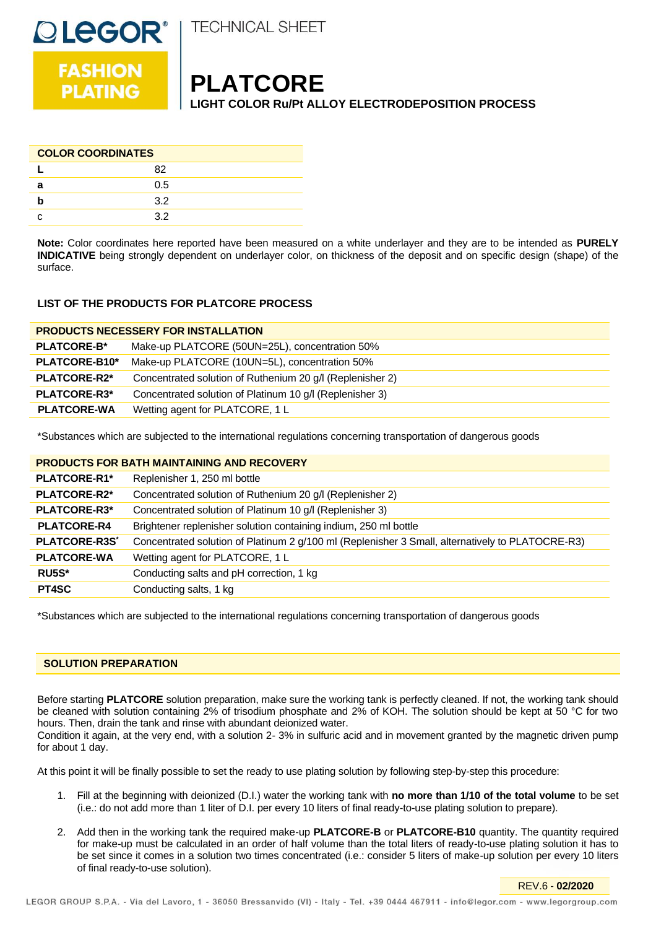

**FASHION PLATING** 

**DLEGOR®** 

## **PLATCORE**

**LIGHT COLOR Ru/Pt ALLOY ELECTRODEPOSITION PROCESS**

| <b>COLOR COORDINATES</b> |     |  |
|--------------------------|-----|--|
|                          | 82  |  |
| а                        | 0.5 |  |
|                          | 3.2 |  |
|                          | 32  |  |

**Note:** Color coordinates here reported have been measured on a white underlayer and they are to be intended as **PURELY INDICATIVE** being strongly dependent on underlayer color, on thickness of the deposit and on specific design (shape) of the surface.

#### **LIST OF THE PRODUCTS FOR PLATCORE PROCESS**

| <b>PRODUCTS NECESSERY FOR INSTALLATION</b> |                                                           |
|--------------------------------------------|-----------------------------------------------------------|
| <b>PLATCORE-B*</b>                         | Make-up PLATCORE (50UN=25L), concentration 50%            |
| PLATCORE-B10*                              | Make-up PLATCORE (10UN=5L), concentration 50%             |
| PLATCORE-R2*                               | Concentrated solution of Ruthenium 20 g/l (Replenisher 2) |
| PLATCORE-R3*                               | Concentrated solution of Platinum 10 g/l (Replenisher 3)  |
| <b>PLATCORE-WA</b>                         | Wetting agent for PLATCORE, 1 L                           |

\*Substances which are subjected to the international regulations concerning transportation of dangerous goods

#### **PRODUCTS FOR BATH MAINTAINING AND RECOVERY**

| PLATCORE-R1*                    | Replenisher 1, 250 ml bottle                                                                     |
|---------------------------------|--------------------------------------------------------------------------------------------------|
| <b>PLATCORE-R2*</b>             | Concentrated solution of Ruthenium 20 g/l (Replenisher 2)                                        |
| PLATCORE-R3*                    | Concentrated solution of Platinum 10 g/l (Replenisher 3)                                         |
| <b>PLATCORE-R4</b>              | Brightener replenisher solution containing indium, 250 ml bottle                                 |
| <b>PLATCORE-R3S<sup>*</sup></b> | Concentrated solution of Platinum 2 g/100 ml (Replenisher 3 Small, alternatively to PLATOCRE-R3) |
| <b>PLATCORE-WA</b>              | Wetting agent for PLATCORE, 1 L                                                                  |
| RU5S*                           | Conducting salts and pH correction, 1 kg                                                         |
| PT4SC                           | Conducting salts, 1 kg                                                                           |

\*Substances which are subjected to the international regulations concerning transportation of dangerous goods

#### **SOLUTION PREPARATION**

Before starting **PLATCORE** solution preparation, make sure the working tank is perfectly cleaned. If not, the working tank should be cleaned with solution containing 2% of trisodium phosphate and 2% of KOH. The solution should be kept at 50 °C for two hours. Then, drain the tank and rinse with abundant deionized water.

Condition it again, at the very end, with a solution 2- 3% in sulfuric acid and in movement granted by the magnetic driven pump for about 1 day.

At this point it will be finally possible to set the ready to use plating solution by following step-by-step this procedure:

- 1. Fill at the beginning with deionized (D.I.) water the working tank with **no more than 1/10 of the total volume** to be set (i.e.: do not add more than 1 liter of D.I. per every 10 liters of final ready-to-use plating solution to prepare).
- 2. Add then in the working tank the required make-up **PLATCORE-B** or **PLATCORE-B10** quantity. The quantity required for make-up must be calculated in an order of half volume than the total liters of ready-to-use plating solution it has to be set since it comes in a solution two times concentrated (i.e.: consider 5 liters of make-up solution per every 10 liters of final ready-to-use solution).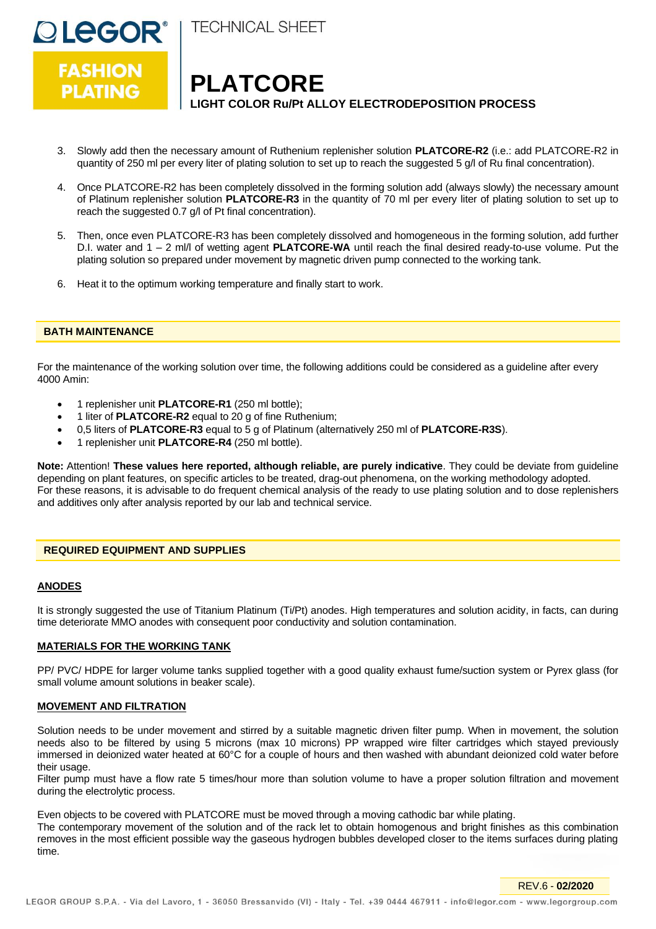

**TECHNICAL SHEET** 

## **PLATCORE LIGHT COLOR Ru/Pt ALLOY ELECTRODEPOSITION PROCESS**

- 3. Slowly add then the necessary amount of Ruthenium replenisher solution **PLATCORE-R2** (i.e.: add PLATCORE-R2 in quantity of 250 ml per every liter of plating solution to set up to reach the suggested 5 g/l of Ru final concentration).
- 4. Once PLATCORE-R2 has been completely dissolved in the forming solution add (always slowly) the necessary amount of Platinum replenisher solution **PLATCORE-R3** in the quantity of 70 ml per every liter of plating solution to set up to reach the suggested 0.7 g/l of Pt final concentration).
- 5. Then, once even PLATCORE-R3 has been completely dissolved and homogeneous in the forming solution, add further D.I. water and 1 – 2 ml/l of wetting agent **PLATCORE-WA** until reach the final desired ready-to-use volume. Put the plating solution so prepared under movement by magnetic driven pump connected to the working tank.
- 6. Heat it to the optimum working temperature and finally start to work.

#### **BATH MAINTENANCE**

For the maintenance of the working solution over time, the following additions could be considered as a guideline after every 4000 Amin:

- 1 replenisher unit **PLATCORE-R1** (250 ml bottle);
- 1 liter of **PLATCORE-R2** equal to 20 g of fine Ruthenium;
- 0,5 liters of **PLATCORE-R3** equal to 5 g of Platinum (alternatively 250 ml of **PLATCORE-R3S**).
- 1 replenisher unit **PLATCORE-R4** (250 ml bottle).

**Note:** Attention! **These values here reported, although reliable, are purely indicative**. They could be deviate from guideline depending on plant features, on specific articles to be treated, drag-out phenomena, on the working methodology adopted. For these reasons, it is advisable to do frequent chemical analysis of the ready to use plating solution and to dose replenishers and additives only after analysis reported by our lab and technical service.

#### **REQUIRED EQUIPMENT AND SUPPLIES**

#### **ANODES**

It is strongly suggested the use of Titanium Platinum (Ti/Pt) anodes. High temperatures and solution acidity, in facts, can during time deteriorate MMO anodes with consequent poor conductivity and solution contamination.

#### **MATERIALS FOR THE WORKING TANK**

PP/ PVC/ HDPE for larger volume tanks supplied together with a good quality exhaust fume/suction system or Pyrex glass (for small volume amount solutions in beaker scale).

#### **MOVEMENT AND FILTRATION**

Solution needs to be under movement and stirred by a suitable magnetic driven filter pump. When in movement, the solution needs also to be filtered by using 5 microns (max 10 microns) PP wrapped wire filter cartridges which stayed previously immersed in deionized water heated at 60°C for a couple of hours and then washed with abundant deionized cold water before their usage.

Filter pump must have a flow rate 5 times/hour more than solution volume to have a proper solution filtration and movement during the electrolytic process.

Even objects to be covered with PLATCORE must be moved through a moving cathodic bar while plating.

The contemporary movement of the solution and of the rack let to obtain homogenous and bright finishes as this combination removes in the most efficient possible way the gaseous hydrogen bubbles developed closer to the items surfaces during plating time.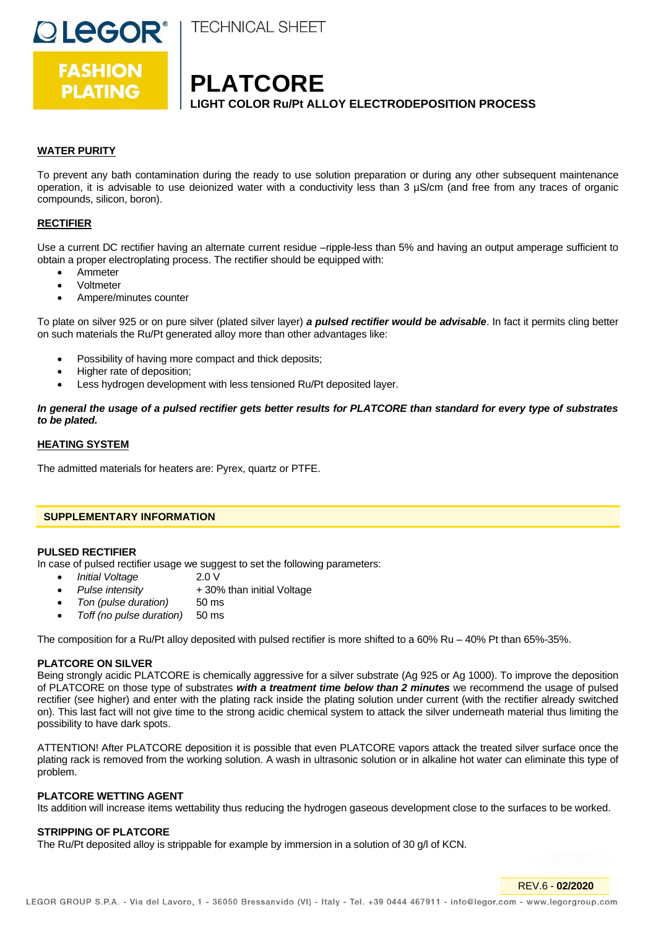



**OLEGOR®** 

# **PLATCORE**

**LIGHT COLOR Ru/Pt ALLOY ELECTRODEPOSITION PROCESS**

#### **WATER PURITY**

To prevent any bath contamination during the ready to use solution preparation or during any other subsequent maintenance operation, it is advisable to use deionized water with a conductivity less than 3 µS/cm (and free from any traces of organic compounds, silicon, boron).

#### **RECTIFIER**

Use a current DC rectifier having an alternate current residue –ripple-less than 5% and having an output amperage sufficient to obtain a proper electroplating process. The rectifier should be equipped with:

- Ammeter
- Voltmeter
- Ampere/minutes counter

To plate on silver 925 or on pure silver (plated silver layer) *a pulsed rectifier would be advisable*. In fact it permits cling better on such materials the Ru/Pt generated alloy more than other advantages like:

- Possibility of having more compact and thick deposits;
- Higher rate of deposition;
- Less hydrogen development with less tensioned Ru/Pt deposited layer.

*In general the usage of a pulsed rectifier gets better results for PLATCORE than standard for every type of substrates to be plated.*

#### **HEATING SYSTEM**

The admitted materials for heaters are: Pyrex, quartz or PTFE.

#### **SUPPLEMENTARY INFORMATION**

#### **PULSED RECTIFIER**

In case of pulsed rectifier usage we suggest to set the following parameters:

- *Initial Voltage* 2.0 V
	- *Pulse intensity* + 30% than initial Voltage
- *Ton (pulse duration)* 50 ms
- *Toff (no pulse duration)* 50 ms

The composition for a Ru/Pt alloy deposited with pulsed rectifier is more shifted to a 60% Ru – 40% Pt than 65%-35%.

#### **PLATCORE ON SILVER**

Being strongly acidic PLATCORE is chemically aggressive for a silver substrate (Ag 925 or Ag 1000). To improve the deposition of PLATCORE on those type of substrates *with a treatment time below than 2 minutes* we recommend the usage of pulsed rectifier (see higher) and enter with the plating rack inside the plating solution under current (with the rectifier already switched on). This last fact will not give time to the strong acidic chemical system to attack the silver underneath material thus limiting the possibility to have dark spots.

ATTENTION! After PLATCORE deposition it is possible that even PLATCORE vapors attack the treated silver surface once the plating rack is removed from the working solution. A wash in ultrasonic solution or in alkaline hot water can eliminate this type of problem.

#### **PLATCORE WETTING AGENT**

Its addition will increase items wettability thus reducing the hydrogen gaseous development close to the surfaces to be worked.

#### **STRIPPING OF PLATCORE**

The Ru/Pt deposited alloy is strippable for example by immersion in a solution of 30 g/l of KCN.